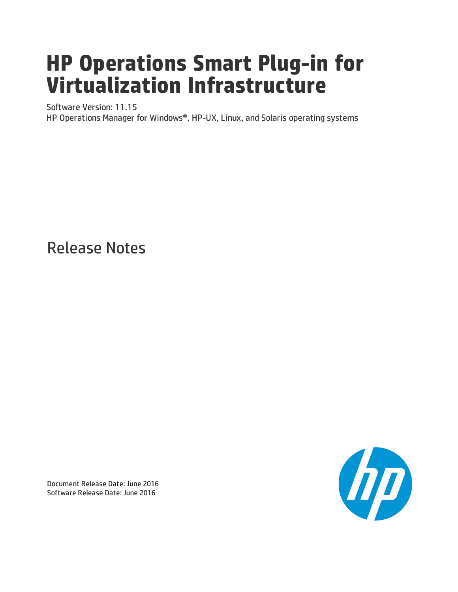# **HP Operations Smart Plug-in for Virtualization Infrastructure**

Software Version: 11.15

HP Operations Manager for Windows®, HP-UX, Linux, and Solaris operating systems

Release Notes



Document Release Date: June 2016 Software Release Date: June 2016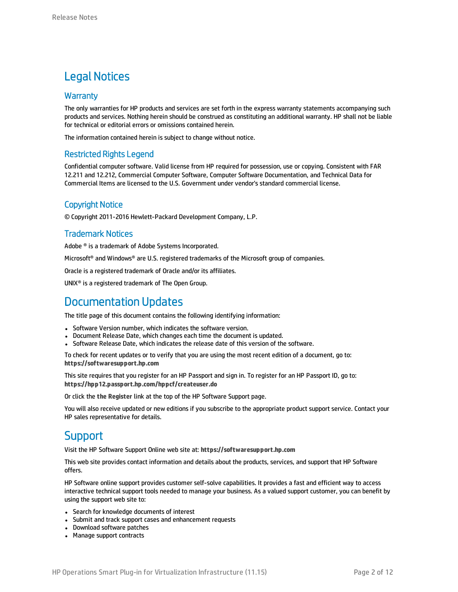### Legal Notices

#### **Warranty**

The only warranties for HP products and services are set forth in the express warranty statements accompanying such products and services. Nothing herein should be construed as constituting an additional warranty. HP shall not be liable for technical or editorial errors or omissions contained herein.

The information contained herein is subject to change without notice.

#### Restricted Rights Legend

Confidential computer software. Valid license from HP required for possession, use or copying. Consistent with FAR 12.211 and 12.212, Commercial Computer Software, Computer Software Documentation, and Technical Data for Commercial Items are licensed to the U.S. Government under vendor's standard commercial license.

#### Copyright Notice

© Copyright 2011-2016 Hewlett-Packard Development Company, L.P.

#### Trademark Notices

Adobe ® is a trademark of Adobe Systems Incorporated.

Microsoft® and Windows® are U.S. registered trademarks of the Microsoft group of companies.

Oracle is a registered trademark of Oracle and/or its affiliates.

UNIX® is a registered trademark of The Open Group.

### Documentation Updates

The title page of this document contains the following identifying information:

- Software Version number, which indicates the software version.
- Document Release Date, which changes each time the document is updated.
- Software Release Date, which indicates the release date of this version of the software.

To check for recent updates or to verify that you are using the most recent edition of a document, go to: **https://softwaresupport.hp.com**

This site requires that you register for an HP Passport and sign in. To register for an HP Passport ID, go to: **https://hpp12.passport.hp.com/hppcf/createuser.do**

Or click the **the Register** link at the top of the HP Software Support page.

You will also receive updated or new editions if you subscribe to the appropriate product support service. Contact your HP sales representative for details.

### **Support**

Visit the HP Software Support Online web site at: **https://softwaresupport.hp.com**

This web site provides contact information and details about the products, services, and support that HP Software offers.

HP Software online support provides customer self-solve capabilities. It provides a fast and efficient way to access interactive technical support tools needed to manage your business. As a valued support customer, you can benefit by using the support web site to:

- Search for knowledge documents of interest
- Submit and track support cases and enhancement requests
- Download software patches
- Manage support contracts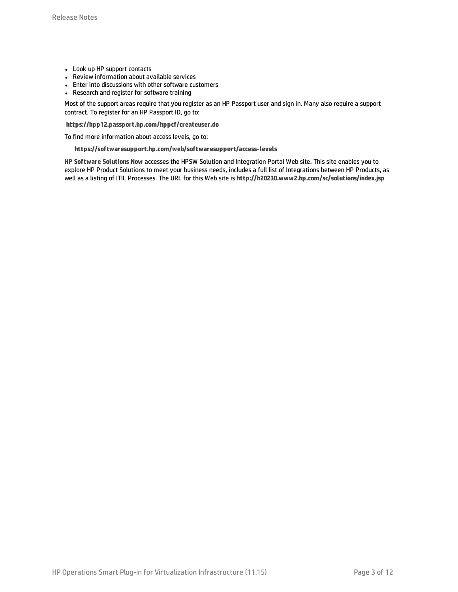- Look up HP support contacts
- Review information about available services
- Enter into discussions with other software customers
- Research and register for software training

Most of the support areas require that you register as an HP Passport user and sign in. Many also require a support contract. To register for an HP Passport ID, go to:

**https://hpp12.passport.hp.com/hppcf/createuser.do**

To find more information about access levels, go to:

**https://softwaresupport.hp.com/web/softwaresupport/access-levels**

**HP Software Solutions Now** accesses the HPSW Solution and Integration Portal Web site. This site enables you to explore HP Product Solutions to meet your business needs, includes a full list of Integrations between HP Products, as well as a listing of ITIL Processes. The URL for this Web site is **http://h20230.www2.hp.com/sc/solutions/index.jsp**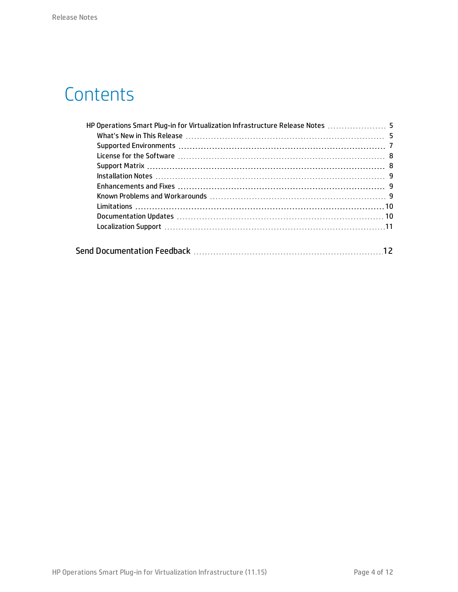# **Contents**

| HP Operations Smart Plug-in for Virtualization Infrastructure Release Notes  5 |  |
|--------------------------------------------------------------------------------|--|
|                                                                                |  |
|                                                                                |  |
|                                                                                |  |
|                                                                                |  |
|                                                                                |  |
|                                                                                |  |
|                                                                                |  |
|                                                                                |  |
|                                                                                |  |
|                                                                                |  |
|                                                                                |  |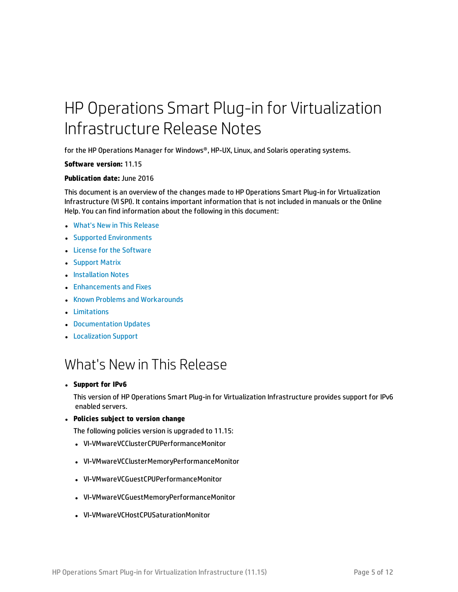# <span id="page-4-0"></span>HP Operations Smart Plug-in for Virtualization Infrastructure Release Notes

for the HP Operations Manager for Windows®, HP-UX, Linux, and Solaris operating systems.

#### **Software version:** 11.15

#### **Publication date:** June 2016

This document is an overview of the changes made to HP Operations Smart Plug-in for Virtualization Infrastructure (VI SPI). It contains important information that is not included in manuals or the Online Help. You can find information about the following in this document:

- **.** What's New in This [Release](#page-4-1)
- **.** Supported [Environments](#page-6-0)
- License for the [Software](#page-7-0)
- [Support](#page-7-1) Matrix
- **[Installation](#page-8-0) Notes**
- **.** [Enhancements](#page-8-1) and Fixes
- Known Problems and [Workarounds](#page-8-2)
- [Limitations](#page-9-0)
- **[Documentation](#page-9-1) Updates**
- <span id="page-4-1"></span>**• [Localization](#page-10-0) Support**

## What's Newin This Release

#### <sup>l</sup> **Support for IPv6**

This version of HP Operations Smart Plug-in for Virtualization Infrastructure provides support for IPv6 enabled servers.

<sup>l</sup> **Policies subject to version change**

The following policies version is upgraded to 11.15:

- VI-VMwareVCClusterCPUPerformanceMonitor
- VI-VMwareVCClusterMemoryPerformanceMonitor
- VI-VMwareVCGuestCPUPerformanceMonitor
- <sup>l</sup> VI-VMwareVCGuestMemoryPerformanceMonitor
- VI-VMwareVCHostCPUSaturationMonitor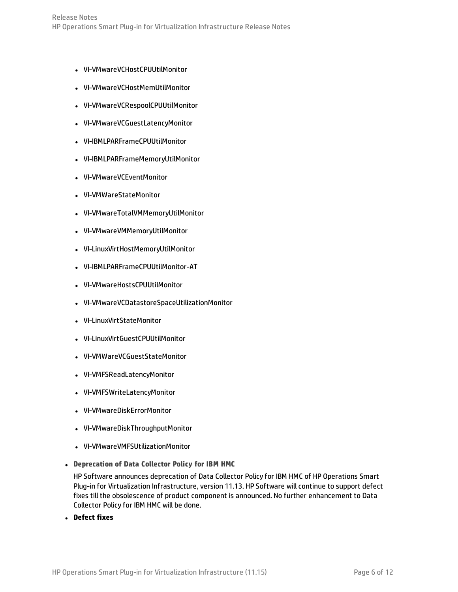- VI-VMwareVCHostCPUUtilMonitor
- VI-VMwareVCHostMemUtilMonitor
- <sup>l</sup> VI-VMwareVCRespoolCPUUtilMonitor
- VI-VMwareVCGuestLatencyMonitor
- VI-IBMLPARFrameCPUUtilMonitor
- <sup>l</sup> VI-IBMLPARFrameMemoryUtilMonitor
- VI-VMwareVCEventMonitor
- VI-VMWareStateMonitor
- <sup>l</sup> VI-VMwareTotalVMMemoryUtilMonitor
- VI-VMwareVMMemoryUtilMonitor
- <sup>l</sup> VI-LinuxVirtHostMemoryUtilMonitor
- <sup>l</sup> VI-IBMLPARFrameCPUUtilMonitor-AT
- VI-VMwareHostsCPUUtilMonitor
- <sup>l</sup> VI-VMwareVCDatastoreSpaceUtilizationMonitor
- VI-LinuxVirtStateMonitor
- VI-LinuxVirtGuestCPUUtilMonitor
- VI-VMWareVCGuestStateMonitor
- VI-VMFSReadLatencyMonitor
- VI-VMFSWriteLatencyMonitor
- VI-VMwareDiskErrorMonitor
- VI-VMwareDiskThroughputMonitor
- <sup>l</sup> VI-VMwareVMFSUtilizationMonitor
- <sup>l</sup> **Deprecation of Data Collector Policy for IBM HMC**

HP Software announces deprecation of Data Collector Policy for IBM HMC of HP Operations Smart Plug-in for Virtualization Infrastructure, version 11.13. HP Software will continue to support defect fixes till the obsolescence of product component is announced. No further enhancement to Data Collector Policy for IBM HMC will be done.

<sup>l</sup> **Defect fixes**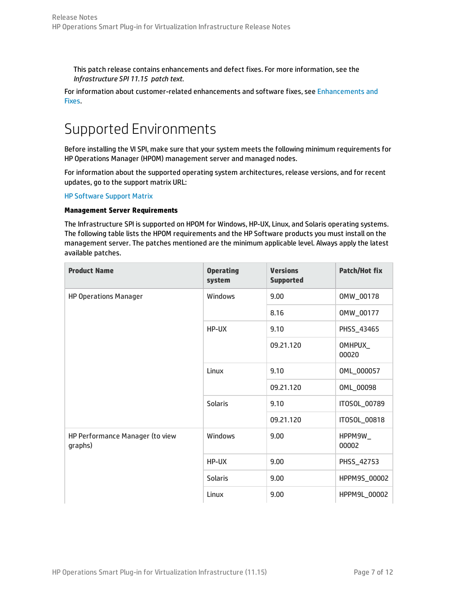This patch release contains enhancements and defect fixes. For more information, see the *Infrastructure SPI 11.15 patch text*.

<span id="page-6-0"></span>For information about customer-related enhancements and software fixes, see [Enhancements](#page-8-1) and [Fixes](#page-8-1).

## Supported Environments

Before installing the VI SPI, make sure that your system meets the following minimum requirements for HP Operations Manager (HPOM) management server and managed nodes.

For information about the supported operating system architectures, release versions, and for recent updates, go to the support matrix URL:

HP [Software](https://softwaresupport.hp.com/group/softwaresupport/search-result/-/facetsearch/document/KM323488) Support Matrix

#### **Management Server Requirements**

The Infrastructure SPI is supported on HPOM for Windows, HP-UX, Linux, and Solaris operating systems. The following table lists the HPOM requirements and the HP Software products you must install on the management server. The patches mentioned are the minimum applicable level. Always apply the latest available patches.

| <b>Product Name</b>                        | <b>Operating</b><br>system | <b>Versions</b><br><b>Supported</b> | <b>Patch/Hot fix</b> |
|--------------------------------------------|----------------------------|-------------------------------------|----------------------|
| <b>HP Operations Manager</b>               | <b>Windows</b>             | 9.00                                | 0MW_00178            |
|                                            |                            | 8.16                                | 0MW_00177            |
|                                            | HP-UX                      | 9.10                                | PHSS_43465           |
|                                            |                            | 09.21.120                           | OMHPUX_<br>00020     |
|                                            | Linux                      | 9.10                                | 0ML_000057           |
|                                            |                            | 09.21.120                           | 0ML_00098            |
|                                            | <b>Solaris</b>             | 9.10                                | IT0S0L_00789         |
|                                            |                            | 09.21.120                           | IT0S0L_00818         |
| HP Performance Manager (to view<br>graphs) | Windows                    | 9.00                                | HPPM9W_<br>00002     |
|                                            | HP-UX                      | 9.00                                | PHSS_42753           |
|                                            | <b>Solaris</b>             | 9.00                                | HPPM9S_00002         |
|                                            | Linux                      | 9.00                                | HPPM9L_00002         |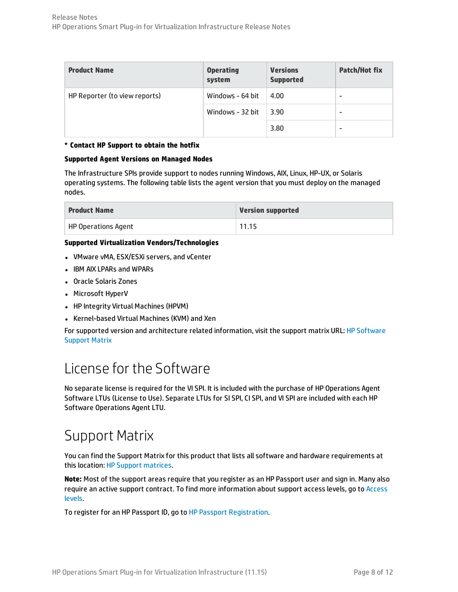| <b>Product Name</b>           | <b>Operating</b><br>system | <b>Versions</b><br><b>Supported</b> | <b>Patch/Hot fix</b> |
|-------------------------------|----------------------------|-------------------------------------|----------------------|
| HP Reporter (to view reports) | Windows - 64 bit           | 4.00                                | -                    |
|                               | Windows - 32 bit           | 3.90                                | -                    |
|                               |                            | 3.80                                | -                    |

#### **\* Contact HP Support to obtain the hotfix**

#### **Supported Agent Versions on Managed Nodes**

The Infrastructure SPIs provide support to nodes running Windows, AIX, Linux, HP-UX, or Solaris operating systems. The following table lists the agent version that you must deploy on the managed nodes.

| <b>Product Name</b>        | <b>Version supported</b> |
|----------------------------|--------------------------|
| <b>HP Operations Agent</b> | 11.15                    |

#### **Supported Virtualization Vendors/Technologies**

- VMware vMA, ESX/ESXi servers, and vCenter
- IBM AIX LPARs and WPARs
- Oracle Solaris Zones
- Microsoft HyperV
- HP Integrity Virtual Machines (HPVM)
- Kernel-based Virtual Machines (KVM) and Xen

<span id="page-7-0"></span>For supported version and architecture related information, visit the support matrix URL: HP [Software](http://support.openview.hp.com/selfsolve/document/KM323488) [Support](http://support.openview.hp.com/selfsolve/document/KM323488) Matrix

## License for the Software

No separate license is required for the VI SPI. It is included with the purchase of HP Operations Agent Software LTUs (License to Use). Separate LTUs for SI SPI, CI SPI, and VI SPI are included with each HP Software Operations Agent LTU.

### <span id="page-7-1"></span>Support Matrix

You can find the Support Matrix for this product that lists all software and hardware requirements at this location: HP Support [matrices.](http://h20230.www2.hp.com/sc/support_matrices.jsp)

**Note:** Most of the support areas require that you register as an HP Passport user and sign in. Many also require an active support contract. To find more information about support access levels, go to [Access](http://support.openview.hp.com/access_level.jsp) [levels](http://support.openview.hp.com/access_level.jsp).

To register for an HP Passport ID, go to HP Passport [Registration](http://h20229.www2.hp.com/passport-registration.html).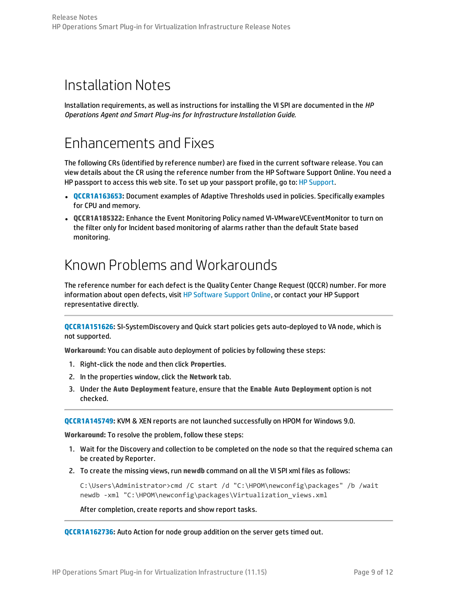### <span id="page-8-0"></span>Installation Notes

<span id="page-8-1"></span>Installation requirements, as well as instructions for installing the VI SPI are documented in the *HP Operations Agent and Smart Plug-ins for Infrastructure Installation Guide.*

### Enhancements and Fixes

The following CRs (identified by reference number) are fixed in the current software release. You can view details about the CR using the reference number from the HP Software Support Online. You need a HP passport to access this web site. To set up your passport profile, go to: HP [Support](http://h20229.www2.hp.com/passport-registration.html).

- **[QCCR1A163653:](http://support.openview.hp.com/selfsolve/document/FID/DOCUMENTUM_QCCR1A163653)** Document examples of Adaptive Thresholds used in policies. Specifically examples for CPU and memory.
- <sup>l</sup> **QCCR1A185322:** Enhance the Event Monitoring Policy named VI-VMwareVCEventMonitor to turn on the filter only for Incident based monitoring of alarms rather than the default State based monitoring.

### <span id="page-8-2"></span>Known Problems and Workarounds

The reference number for each defect is the Quality Center Change Request (QCCR) number. For more information about open defects, visit HP [Software](http://www.hp.com/managementsoftware/support) Support Online, or contact your HP Support representative directly.

**[QCCR1A151626:](http://support.openview.hp.com/selfsolve/document/FID/DOCUMENTUM_QCCR1A151626)** SI-SystemDiscovery and Quick start policies gets auto-deployed to VA node, which is not supported.

**Workaround:** You can disable auto deployment of policies by following these steps:

- 1. Right-click the node and then click **Properties**.
- 2. In the properties window, click the **Network** tab.
- 3. Under the **Auto Deployment** feature, ensure that the **Enable Auto Deployment** option is not checked.

**[QCCR1A145749:](http://support.openview.hp.com/selfsolve/document/FID/DOCUMENTUM_QCCR1A145749)** KVM & XEN reports are not launched successfully on HPOM for Windows 9.0.

**Workaround:** To resolve the problem, follow these steps:

- 1. Wait for the Discovery and collection to be completed on the node so that the required schema can be created by Reporter.
- 2. To create the missing views, run **newdb** command on all the VI SPI xml files as follows:

C:\Users\Administrator>cmd /C start /d "C:\HPOM\newconfig\packages" /b /wait newdb -xml "C:\HPOM\newconfig\packages\Virtualization\_views.xml

After completion, create reports and show report tasks.

**[QCCR1A162736:](http://support.openview.hp.com/selfsolve/document/FID/DOCUMENTUM_QCCR1A162736)** Auto Action for node group addition on the server gets timed out.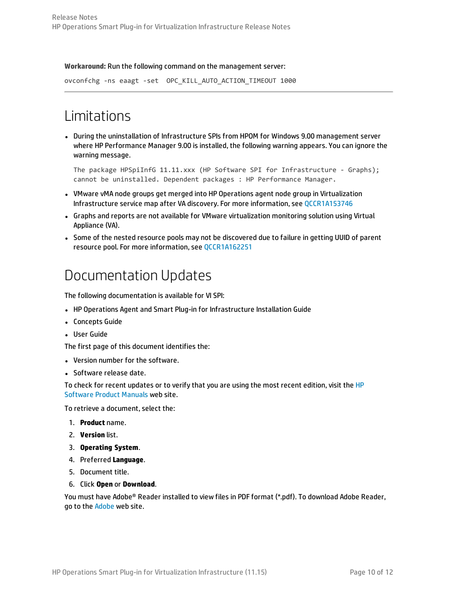#### **Workaround:** Run the following command on the management server:

<span id="page-9-0"></span>ovconfchg -ns eaagt -set OPC\_KILL\_AUTO\_ACTION\_TIMEOUT 1000

### Limitations

• During the uninstallation of Infrastructure SPIs from HPOM for Windows 9.00 management server where HP Performance Manager 9.00 is installed, the following warning appears. You can ignore the warning message.

The package HPSpiInfG 11.11.xxx (HP Software SPI for Infrastructure - Graphs); cannot be uninstalled. Dependent packages : HP Performance Manager.

- VMware vMA node groups get merged into HP Operations agent node group in Virtualization Infrastructure service map after VA discovery. For more information, see [QCCR1A153746](http://support.openview.hp.com/selfsolve/document/FID/DOCUMENTUM_QCCR1A153746)
- <sup>l</sup> Graphs and reports are not available for VMware virtualization monitoring solution using Virtual Appliance (VA).
- <span id="page-9-1"></span>• Some of the nested resource pools may not be discovered due to failure in getting UUID of parent resource pool. For more information, see [QCCR1A162251](http://support.openview.hp.com/selfsolve/document/FID/DOCUMENTUM_QCCR1A162251)

### Documentation Updates

The following documentation is available for VI SPI:

- HP Operations Agent and Smart Plug-in for Infrastructure Installation Guide
- Concepts Guide
- User Guide

The first page of this document identifies the:

- Version number for the software.
- Software release date.

To check for recent updates or to verify that you are using the most recent edition, visit the [HP](http://h20230.www2.hp.com/selfsolve/manuals) [Software](http://h20230.www2.hp.com/selfsolve/manuals) Product Manuals web site.

To retrieve a document, select the:

- 1. **Product** name.
- 2. **Version** list.
- 3. **Operating System**.
- 4. Preferred **Language**.
- 5. Document title.
- 6. Click **Open** or **Download**.

You must have Adobe® Reader installed to view files in PDF format (\*.pdf). To download Adobe Reader, go to the [Adobe](http://www.adobe.com/) web site.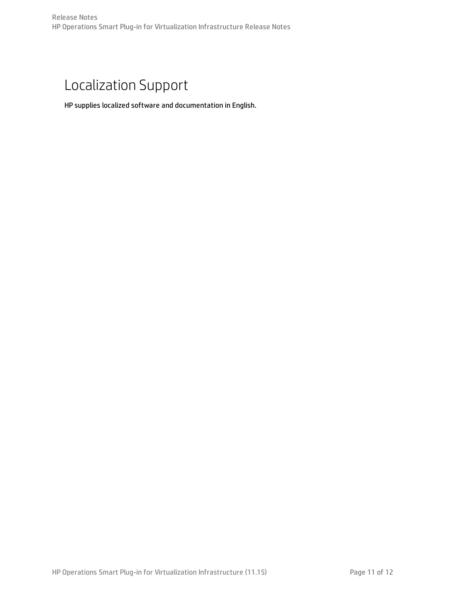## <span id="page-10-0"></span>Localization Support

HP supplies localized software and documentation in English.